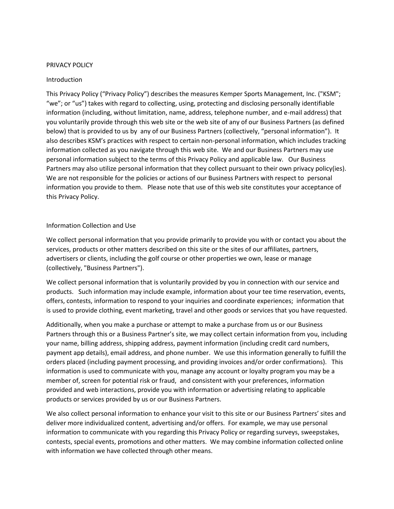#### PRIVACY POLICY

#### Introduction

This Privacy Policy ("Privacy Policy") describes the measures Kemper Sports Management, Inc. ("KSM"; "we"; or "us") takes with regard to collecting, using, protecting and disclosing personally identifiable information (including, without limitation, name, address, telephone number, and e-mail address) that you voluntarily provide through this web site or the web site of any of our Business Partners (as defined below) that is provided to us by any of our Business Partners (collectively, "personal information"). It also describes KSM's practices with respect to certain non-personal information, which includes tracking information collected as you navigate through this web site. We and our Business Partners may use personal information subject to the terms of this Privacy Policy and applicable law. Our Business Partners may also utilize personal information that they collect pursuant to their own privacy policy(ies). We are not responsible for the policies or actions of our Business Partners with respect to personal information you provide to them. Please note that use of this web site constitutes your acceptance of this Privacy Policy.

#### Information Collection and Use

We collect personal information that you provide primarily to provide you with or contact you about the services, products or other matters described on this site or the sites of our affiliates, partners, advertisers or clients, including the golf course or other properties we own, lease or manage (collectively, "Business Partners").

We collect personal information that is voluntarily provided by you in connection with our service and products. Such information may include example, information about your tee time reservation, events, offers, contests, information to respond to your inquiries and coordinate experiences; information that is used to provide clothing, event marketing, travel and other goods or services that you have requested.

Additionally, when you make a purchase or attempt to make a purchase from us or our Business Partners through this or a Business Partner's site, we may collect certain information from you, including your name, billing address, shipping address, payment information (including credit card numbers, payment app details), email address, and phone number. We use this information generally to fulfill the orders placed (including payment processing, and providing invoices and/or order confirmations). This information is used to communicate with you, manage any account or loyalty program you may be a member of, screen for potential risk or fraud, and consistent with your preferences, information provided and web interactions, provide you with information or advertising relating to applicable products or services provided by us or our Business Partners.

We also collect personal information to enhance your visit to this site or our Business Partners' sites and deliver more individualized content, advertising and/or offers. For example, we may use personal information to communicate with you regarding this Privacy Policy or regarding surveys, sweepstakes, contests, special events, promotions and other matters. We may combine information collected online with information we have collected through other means.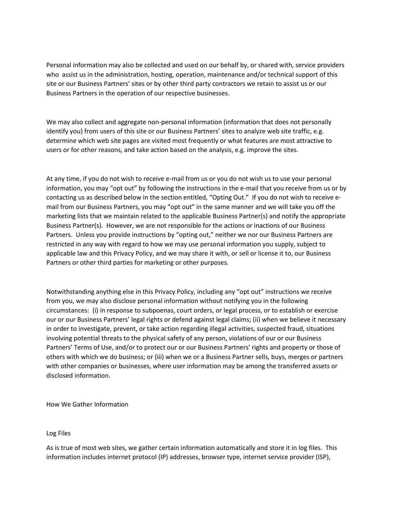Personal information may also be collected and used on our behalf by, or shared with, service providers who assist us in the administration, hosting, operation, maintenance and/or technical support of this site or our Business Partners' sites or by other third party contractors we retain to assist us or our Business Partners in the operation of our respective businesses.

We may also collect and aggregate non-personal information (information that does not personally identify you) from users of this site or our Business Partners' sites to analyze web site traffic, e.g. determine which web site pages are visited most frequently or what features are most attractive to users or for other reasons, and take action based on the analysis, e.g. improve the sites.

At any time, if you do not wish to receive e-mail from us or you do not wish us to use your personal information, you may "opt out" by following the instructions in the e-mail that you receive from us or by contacting us as described below in the section entitled, "Opting Out." If you do not wish to receive email from our Business Partners, you may "opt out" in the same manner and we will take you off the marketing lists that we maintain related to the applicable Business Partner(s) and notify the appropriate Business Partner(s). However, we are not responsible for the actions or inactions of our Business Partners. Unless you provide instructions by "opting out," neither we nor our Business Partners are restricted in any way with regard to how we may use personal information you supply, subject to applicable law and this Privacy Policy, and we may share it with, or sell or license it to, our Business Partners or other third parties for marketing or other purposes.

Notwithstanding anything else in this Privacy Policy, including any "opt out" instructions we receive from you, we may also disclose personal information without notifying you in the following circumstances: (i) in response to subpoenas, court orders, or legal process, or to establish or exercise our or our Business Partners' legal rights or defend against legal claims; (ii) when we believe it necessary in order to investigate, prevent, or take action regarding illegal activities, suspected fraud, situations involving potential threats to the physical safety of any person, violations of our or our Business Partners' Terms of Use, and/or to protect our or our Business Partners' rights and property or those of others with which we do business; or (iii) when we or a Business Partner sells, buys, merges or partners with other companies or businesses, where user information may be among the transferred assets or disclosed information.

How We Gather Information

#### Log Files

As is true of most web sites, we gather certain information automatically and store it in log files. This information includes internet protocol (IP) addresses, browser type, internet service provider (ISP),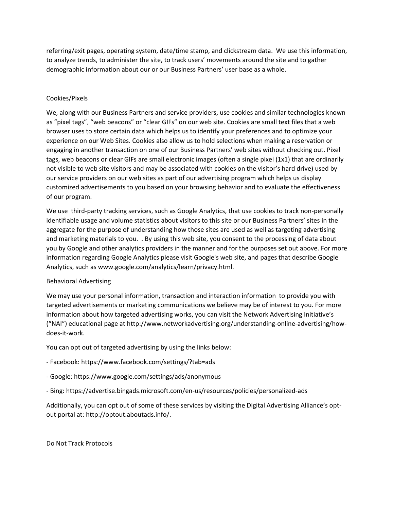referring/exit pages, operating system, date/time stamp, and clickstream data. We use this information, to analyze trends, to administer the site, to track users' movements around the site and to gather demographic information about our or our Business Partners' user base as a whole.

## Cookies/Pixels

We, along with our Business Partners and service providers, use cookies and similar technologies known as "pixel tags", "web beacons" or "clear GIFs" on our web site. Cookies are small text files that a web browser uses to store certain data which helps us to identify your preferences and to optimize your experience on our Web Sites. Cookies also allow us to hold selections when making a reservation or engaging in another transaction on one of our Business Partners' web sites without checking out. Pixel tags, web beacons or clear GIFs are small electronic images (often a single pixel (1x1) that are ordinarily not visible to web site visitors and may be associated with cookies on the visitor's hard drive) used by our service providers on our web sites as part of our advertising program which helps us display customized advertisements to you based on your browsing behavior and to evaluate the effectiveness of our program.

We use third-party tracking services, such as Google Analytics, that use cookies to track non-personally identifiable usage and volume statistics about visitors to this site or our Business Partners' sites in the aggregate for the purpose of understanding how those sites are used as well as targeting advertising and marketing materials to you. . By using this web site, you consent to the processing of data about you by Google and other analytics providers in the manner and for the purposes set out above. For more information regarding Google Analytics please visit Google's web site, and pages that describe Google Analytics, such as www.google.com/analytics/learn/privacy.html.

## Behavioral Advertising

We may use your personal information, transaction and interaction information to provide you with targeted advertisements or marketing communications we believe may be of interest to you. For more information about how targeted advertising works, you can visit the Network Advertising Initiative's ("NAI") educational page at http://www.networkadvertising.org/understanding-online-advertising/howdoes-it-work.

You can opt out of targeted advertising by using the links below:

- Facebook: https://www.facebook.com/settings/?tab=ads
- Google: https://www.google.com/settings/ads/anonymous
- Bing: https://advertise.bingads.microsoft.com/en-us/resources/policies/personalized-ads

Additionally, you can opt out of some of these services by visiting the Digital Advertising Alliance's optout portal at: http://optout.aboutads.info/.

Do Not Track Protocols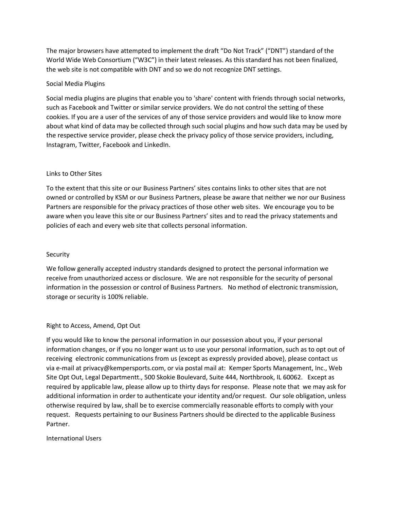The major browsers have attempted to implement the draft "Do Not Track" ("DNT") standard of the World Wide Web Consortium ("W3C") in their latest releases. As this standard has not been finalized, the web site is not compatible with DNT and so we do not recognize DNT settings.

### Social Media Plugins

Social media plugins are plugins that enable you to 'share' content with friends through social networks, such as Facebook and Twitter or similar service providers. We do not control the setting of these cookies. If you are a user of the services of any of those service providers and would like to know more about what kind of data may be collected through such social plugins and how such data may be used by the respective service provider, please check the privacy policy of those service providers, including, Instagram, Twitter, Facebook and LinkedIn.

## Links to Other Sites

To the extent that this site or our Business Partners' sites contains links to other sites that are not owned or controlled by KSM or our Business Partners, please be aware that neither we nor our Business Partners are responsible for the privacy practices of those other web sites. We encourage you to be aware when you leave this site or our Business Partners' sites and to read the privacy statements and policies of each and every web site that collects personal information.

#### Security

We follow generally accepted industry standards designed to protect the personal information we receive from unauthorized access or disclosure. We are not responsible for the security of personal information in the possession or control of Business Partners. No method of electronic transmission, storage or security is 100% reliable.

## Right to Access, Amend, Opt Out

If you would like to know the personal information in our possession about you, if your personal information changes, or if you no longer want us to use your personal information, such as to opt out of receiving electronic communications from us (except as expressly provided above), please contact us via e-mail at privacy@kempersports.com, or via postal mail at: Kemper Sports Management, Inc., Web Site Opt Out, Legal Departmentt., 500 Skokie Boulevard, Suite 444, Northbrook, IL 60062. Except as required by applicable law, please allow up to thirty days for response. Please note that we may ask for additional information in order to authenticate your identity and/or request. Our sole obligation, unless otherwise required by law, shall be to exercise commercially reasonable efforts to comply with your request. Requests pertaining to our Business Partners should be directed to the applicable Business Partner.

## International Users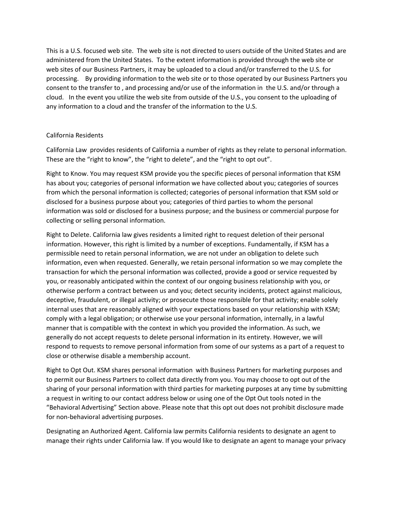This is a U.S. focused web site. The web site is not directed to users outside of the United States and are administered from the United States. To the extent information is provided through the web site or web sites of our Business Partners, it may be uploaded to a cloud and/or transferred to the U.S. for processing. By providing information to the web site or to those operated by our Business Partners you consent to the transfer to , and processing and/or use of the information in the U.S. and/or through a cloud. In the event you utilize the web site from outside of the U.S., you consent to the uploading of any information to a cloud and the transfer of the information to the U.S.

## California Residents

California Law provides residents of California a number of rights as they relate to personal information. These are the "right to know", the "right to delete", and the "right to opt out".

Right to Know. You may request KSM provide you the specific pieces of personal information that KSM has about you; categories of personal information we have collected about you; categories of sources from which the personal information is collected; categories of personal information that KSM sold or disclosed for a business purpose about you; categories of third parties to whom the personal information was sold or disclosed for a business purpose; and the business or commercial purpose for collecting or selling personal information.

Right to Delete. California law gives residents a limited right to request deletion of their personal information. However, this right is limited by a number of exceptions. Fundamentally, if KSM has a permissible need to retain personal information, we are not under an obligation to delete such information, even when requested. Generally, we retain personal information so we may complete the transaction for which the personal information was collected, provide a good or service requested by you, or reasonably anticipated within the context of our ongoing business relationship with you, or otherwise perform a contract between us and you; detect security incidents, protect against malicious, deceptive, fraudulent, or illegal activity; or prosecute those responsible for that activity; enable solely internal uses that are reasonably aligned with your expectations based on your relationship with KSM; comply with a legal obligation; or otherwise use your personal information, internally, in a lawful manner that is compatible with the context in which you provided the information. As such, we generally do not accept requests to delete personal information in its entirety. However, we will respond to requests to remove personal information from some of our systems as a part of a request to close or otherwise disable a membership account.

Right to Opt Out. KSM shares personal information with Business Partners for marketing purposes and to permit our Business Partners to collect data directly from you. You may choose to opt out of the sharing of your personal information with third parties for marketing purposes at any time by submitting a request in writing to our contact address below or using one of the Opt Out tools noted in the "Behavioral Advertising" Section above. Please note that this opt out does not prohibit disclosure made for non-behavioral advertising purposes.

Designating an Authorized Agent. California law permits California residents to designate an agent to manage their rights under California law. If you would like to designate an agent to manage your privacy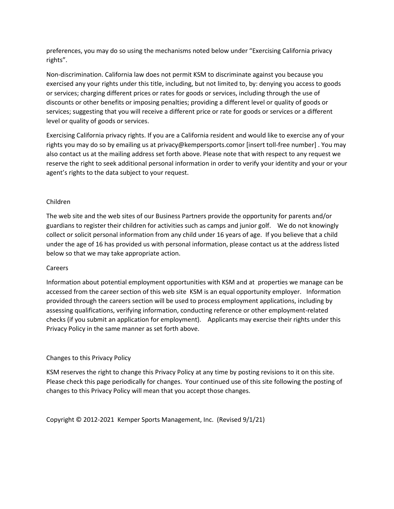preferences, you may do so using the mechanisms noted below under "Exercising California privacy rights".

Non-discrimination. California law does not permit KSM to discriminate against you because you exercised any your rights under this title, including, but not limited to, by: denying you access to goods or services; charging different prices or rates for goods or services, including through the use of discounts or other benefits or imposing penalties; providing a different level or quality of goods or services; suggesting that you will receive a different price or rate for goods or services or a different level or quality of goods or services.

Exercising California privacy rights. If you are a California resident and would like to exercise any of your rights you may do so by emailing us at privacy@kempersports.comor [insert toll-free number] . You may also contact us at the mailing address set forth above. Please note that with respect to any request we reserve the right to seek additional personal information in order to verify your identity and your or your agent's rights to the data subject to your request.

## Children

The web site and the web sites of our Business Partners provide the opportunity for parents and/or guardians to register their children for activities such as camps and junior golf. We do not knowingly collect or solicit personal information from any child under 16 years of age. If you believe that a child under the age of 16 has provided us with personal information, please contact us at the address listed below so that we may take appropriate action.

## Careers

Information about potential employment opportunities with KSM and at properties we manage can be accessed from the career section of this web site KSM is an equal opportunity employer. Information provided through the careers section will be used to process employment applications, including by assessing qualifications, verifying information, conducting reference or other employment-related checks (if you submit an application for employment). Applicants may exercise their rights under this Privacy Policy in the same manner as set forth above.

# Changes to this Privacy Policy

KSM reserves the right to change this Privacy Policy at any time by posting revisions to it on this site. Please check this page periodically for changes. Your continued use of this site following the posting of changes to this Privacy Policy will mean that you accept those changes.

Copyright © 2012-2021 Kemper Sports Management, Inc. (Revised 9/1/21)